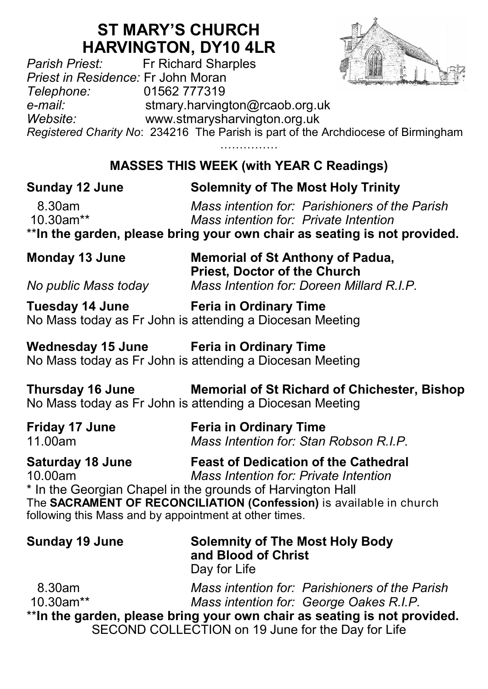## **ST MARY'S CHURCH**

**HARVINGTON, DY10 4LR**<br>Fr Richard Sharples *Parish Priest:* Fr Richard Sharples *Priest in Residence:* Fr John Moran *Telephone:* 01562 777319 *e-mail:* stmary.harvington@rcaob.org.uk *Website:* www.stmarysharvington.org.uk *Registered Charity No*: 234216 The Parish is part of the Archdiocese of Birmingham …………………

**MASSES THIS WEEK (with YEAR C Readings)** 

| <b>Solemnity of The Most Holy Trinity</b><br>Mass intention for: Parishioners of the Parish                                                                                                                                                                                                             |
|---------------------------------------------------------------------------------------------------------------------------------------------------------------------------------------------------------------------------------------------------------------------------------------------------------|
| Mass intention for: Private Intention<br>** In the garden, please bring your own chair as seating is not provided.                                                                                                                                                                                      |
| <b>Memorial of St Anthony of Padua,</b><br><b>Priest, Doctor of the Church</b>                                                                                                                                                                                                                          |
| Mass Intention for: Doreen Millard R.I.P.                                                                                                                                                                                                                                                               |
| Tuesday 14 June Feria in Ordinary Time<br>No Mass today as Fr John is attending a Diocesan Meeting                                                                                                                                                                                                      |
| Wednesday 15 June Feria in Ordinary Time<br>No Mass today as Fr John is attending a Diocesan Meeting                                                                                                                                                                                                    |
| Thursday 16 June Memorial of St Richard of Chichester, Bishop<br>No Mass today as Fr John is attending a Diocesan Meeting                                                                                                                                                                               |
| <b>Feria in Ordinary Time</b><br>Mass Intention for: Stan Robson R.I.P.                                                                                                                                                                                                                                 |
| Saturday 18 June<br><b>Feast of Dedication of the Cathedral</b><br>Mass Intention for: Private Intention<br>* In the Georgian Chapel in the grounds of Harvington Hall<br>The SACRAMENT OF RECONCILIATION (Confession) is available in church<br>following this Mass and by appointment at other times. |
| <b>Solemnity of The Most Holy Body</b><br>and Blood of Christ<br>Day for Life                                                                                                                                                                                                                           |
| Mass intention for: Parishioners of the Parish<br>Mass intention for: George Oakes R.I.P.<br>**In the garden, please bring your own chair as seating is not provided.<br>SECOND COLLECTION on 19 June for the Day for Life                                                                              |
|                                                                                                                                                                                                                                                                                                         |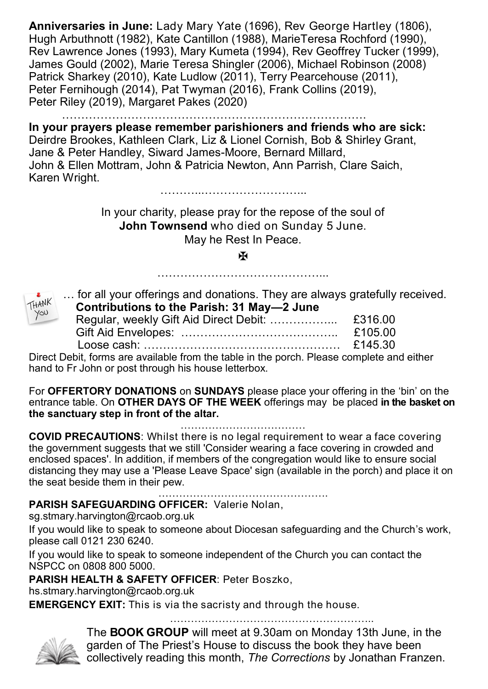**Anniversaries in June:** Lady Mary Yate (1696), Rev George Hartley (1806), Hugh Arbuthnott (1982), Kate Cantillon (1988), MarieTeresa Rochford (1990), Rev Lawrence Jones (1993), Mary Kumeta (1994), Rev Geoffrey Tucker (1999), James Gould (2002), Marie Teresa Shingler (2006), Michael Robinson (2008) Patrick Sharkey (2010), Kate Ludlow (2011), Terry Pearcehouse (2011), Peter Fernihough (2014), Pat Twyman (2016), Frank Collins (2019), Peter Riley (2019), Margaret Pakes (2020)

…………………………………………………………………….

**In your prayers please remember parishioners and friends who are sick:**  Deirdre Brookes, Kathleen Clark, Liz & Lionel Cornish, Bob & Shirley Grant, Jane & Peter Handley, Siward James-Moore, Bernard Millard, John & Ellen Mottram, John & Patricia Newton, Ann Parrish, Clare Saich, Karen Wright. ………...……………………...

> In your charity, please pray for the repose of the soul of **John Townsend** who died on Sunday 5 June. May he Rest In Peace.

> > Ж ……………………………………...



| for all your offerings and donations. They are always gratefully received. |         |
|----------------------------------------------------------------------------|---------|
| Contributions to the Parish: 31 May-2 June                                 |         |
|                                                                            |         |
|                                                                            | £105.00 |
|                                                                            |         |

Direct Debit, forms are available from the table in the porch. Please complete and either hand to Fr John or post through his house letterbox.

For **OFFERTORY DONATIONS** on **SUNDAYS** please place your offering in the 'bin' on the entrance table. On **OTHER DAYS OF THE WEEK** offerings may be placed **in the basket on the sanctuary step in front of the altar.** 

………………………………

**COVID PRECAUTIONS**: Whilst there is no legal requirement to wear a face covering the government suggests that we still 'Consider wearing a face covering in crowded and enclosed spaces'. In addition, if members of the congregation would like to ensure social distancing they may use a 'Please Leave Space' sign (available in the porch) and place it on the seat beside them in their pew.

…………………………………………. **PARISH SAFEGUARDING OFFICER:** Valerie Nolan,

sg.stmary.harvington@rcaob.org.uk

If you would like to speak to someone about Diocesan safeguarding and the Church's work, please call 0121 230 6240.

If you would like to speak to someone independent of the Church you can contact the NSPCC on 0808 800 5000.

**PARISH HEALTH & SAFETY OFFICER**: Peter Boszko,

hs.stmary.harvington@rcaob.org.uk

**EMERGENCY EXIT:** This is via the sacristy and through the house.

…………………………



The **BOOK GROUP** will meet at 9.30am on Monday 13th June, in the garden of The Priest's House to discuss the book they have been collectively reading this month, *The Corrections* by Jonathan Franzen.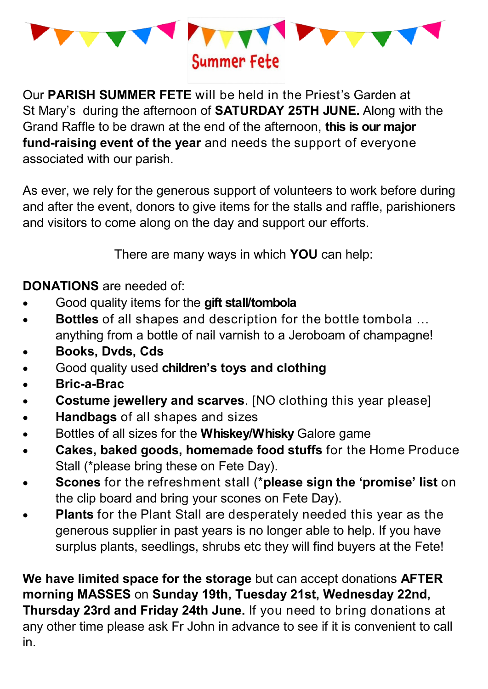

Our **PARISH SUMMER FETE** will be held in the Priest's Garden at St Mary's during the afternoon of **SATURDAY 25TH JUNE.** Along with the Grand Raffle to be drawn at the end of the afternoon, **this is our major fund-raising event of the year** and needs the support of everyone associated with our parish.

As ever, we rely for the generous support of volunteers to work before during and after the event, donors to give items for the stalls and raffle, parishioners and visitors to come along on the day and support our efforts.

There are many ways in which **YOU** can help:

**DONATIONS** are needed of:

- Good quality items for the **gift stall/tombola**
- **Bottles** of all shapes and description for the bottle tombola … anything from a bottle of nail varnish to a Jeroboam of champagne!
- **Books, Dvds, Cds**
- Good quality used **children's toys and clothing**
- **Bric-a-Brac**
- **Costume jewellery and scarves**. [NO clothing this year please]
- **Handbags** of all shapes and sizes
- Bottles of all sizes for the **Whiskey/Whisky** Galore game
- **Cakes, baked goods, homemade food stuffs** for the Home Produce Stall (\*please bring these on Fete Day).
- **Scones** for the refreshment stall (\***please sign the 'promise' list** on the clip board and bring your scones on Fete Day).
- **Plants** for the Plant Stall are desperately needed this year as the generous supplier in past years is no longer able to help. If you have surplus plants, seedlings, shrubs etc they will find buyers at the Fete!

**We have limited space for the storage** but can accept donations **AFTER morning MASSES** on **Sunday 19th, Tuesday 21st, Wednesday 22nd, Thursday 23rd and Friday 24th June.** If you need to bring donations at any other time please ask Fr John in advance to see if it is convenient to call in.